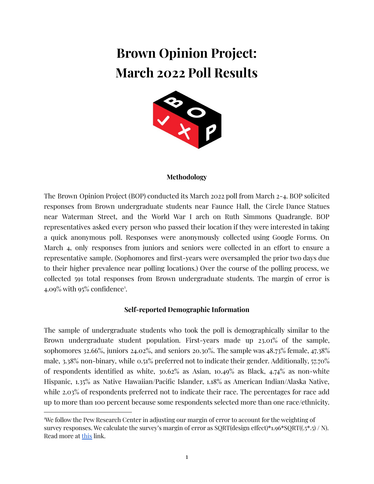# **Brown Opinion Project: March 2022 Poll Results**



#### **Methodology**

The Brown Opinion Project (BOP) conducted its March 2022 poll from March 2-4. BOP solicited responses from Brown undergraduate students near Faunce Hall, the Circle Dance Statues near Waterman Street, and the World War I arch on Ruth Simmons Quadrangle. BOP representatives asked every person who passed their location if they were interested in taking a quick anonymous poll. Responses were anonymously collected using Google Forms. On March 4, only responses from juniors and seniors were collected in an effort to ensure a representative sample. (Sophomores and first-years were oversampled the prior two days due to their higher prevalence near polling locations.) Over the course of the polling process, we collected 591 total responses from Brown undergraduate students. The margin of error is 4.09% with 95% confidence<sup>1</sup>.

#### **Self-reported Demographic Information**

The sample of undergraduate students who took the poll is demographically similar to the Brown undergraduate student population. First-years made up 23.01% of the sample, sophomores 32.66%, juniors 24.02%, and seniors 20.30%. The sample was 48.73% female, 47.38% male, 3.38% non-binary, while 0.51% preferred not to indicate their gender. Additionally, 57.70% of respondents identified as white, 30.62% as Asian, 10.49% as Black, 4.74% as non-white Hispanic, 1.35% as Native Hawaiian/Pacific Islander, 1.18% as American Indian/Alaska Native, while 2.03% of respondents preferred not to indicate their race. The percentages for race add up to more than 100 percent because some respondents selected more than one race/ethnicity.

<sup>1</sup>We follow the Pew Research Center in adjusting our margin of error to account for the weighting of survey responses. We calculate the survey's margin of error as  $SQRT(design effect)*1.96*SQRT((.5*.5) / N)$ . Read more at [this](https://www.pewresearch.org/internet/2010/04/27/methodology-85/) link.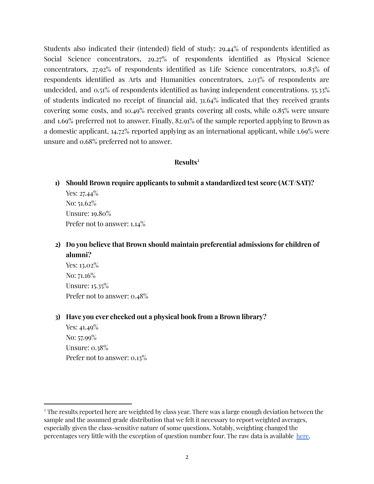Students also indicated their (intended) field of study: 29.44% of respondents identified as Social Science concentrators, 29.27% of respondents identified as Physical Science concentrators, 27.92% of respondents identified as Life Science concentrators, 10.83% of respondents identified as Arts and Humanities concentrators, 2.03% of respondents are undecided, and 0.51% of respondents identified as having independent concentrations. 55.33% of students indicated no receipt of financial aid, 31.64% indicated that they received grants covering some costs, and 10.49% received grants covering all costs, while 0.85% were unsure and 1.69% preferred not to answer. Finally, 82.91% of the sample reported applying to Brown as a domestic applicant, 14.72% reported applying as an international applicant, while 1.69% were unsure and 0.68% preferred not to answer.

#### **Results 2**

**1) Should Brown require applicants to submit a standardized test score (ACT/SAT)?**

Yes: 27.44<sup>%</sup> No: 51.62% Unsure: 19.80% Prefer not to answer:  $1.14\%$ 

**2) Do you believe that Brown should maintain preferential admissions for children of alumni?**

Yes: 13.02% No: 71.16% Unsure: 15.35% Prefer not to answer: 0.48%

**3) Have you ever checked out a physical book from a Brown library?**

Yes: 41.49% No: 57.99% Unsure: 0.38% Prefer not to answer: 0.13%

<sup>&</sup>lt;sup>2</sup> The results reported here are weighted by class year. There was a large enough deviation between the sample and the assumed grade distribution that we felt it necessary to report weighted averages, especially given the class-sensitive nature of some questions. Notably, weighting changed the percentages very little with the exception of question number four. The raw data is available [here.](https://docs.google.com/spreadsheets/d/15_jNYN7ZEfu35fN1BI-EzHRh1SnqKLzziZovu-OAnYE/edit?usp=sharing)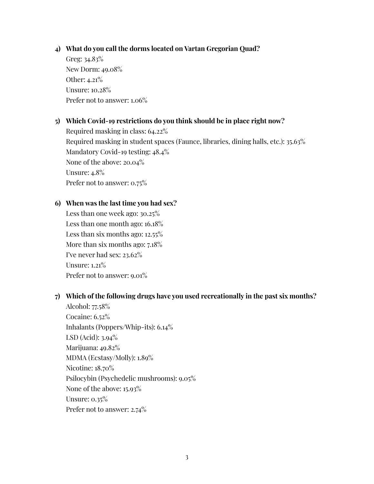## **4) What do you call the dorms located on Vartan Gregorian Quad?**

Greg: 34.83% New Dorm: 49.08% Other: 4.21% Unsure: 10.28% Prefer not to answer: 1.06%

## **5) Which Covid-19 restrictions do you think should be in place right now?**

Required masking in class: 64.22% Required masking in student spaces (Faunce, libraries, dining halls, etc.): 35.63% Mandatory Covid-19 testing: 48.4% None of the above: 20.04% Unsure: 4.8% Prefer not to answer: 0.75%

## **6) When was the last time you had sex?**

Less than one week ago: 30.25% Less than one month ago: 16.18% Less than six months ago: 12.55% More than six months ago: 7.18% I've never had sex: 23.62% Unsure: 1.21% Prefer not to answer: 9.01%

# **7) Which of the following drugs have you used recreationally in the past six months?**

Alcohol: 77.58% Cocaine: 6.52% Inhalants (Poppers/Whip-its): 6.14% LSD (Acid): 3.94% Marijuana: 49.82% MDMA (Ecstasy/Molly): 1.89% Nicotine: 18.70% Psilocybin (Psychedelic mushrooms): 9.05% None of the above: 15.93% Unsure: 0.35% Prefer not to answer: 2.74%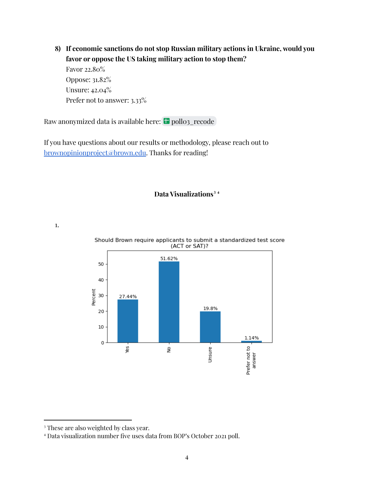**8) If economic sanctions do not stop Russian military actions in Ukraine, would you favor or oppose the US taking military action to stop them?**

Favor 22.80% Oppose: 31.82% Unsure: 42.04% Prefer not to answer: 3.33%

Raw anonymized data is available here: **p**ollo3\_recode

If you have questions about our results or methodology, please reach out to [brownopinionproject@brown.edu](mailto:brownopinionproject@brown.edu). Thanks for reading!

# **Data Visualizations 3 4**

1.



Should Brown require applicants to submit a standardized test score (ACT or SAT)?

<sup>&</sup>lt;sup>3</sup> These are also weighted by class year.

<sup>4</sup> Data visualization number five uses data from BOP's October 2021 poll.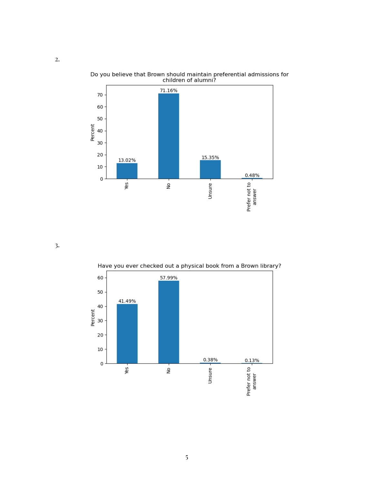

Do you believe that Brown should maintain preferential admissions for<br>children of alumni?

3.

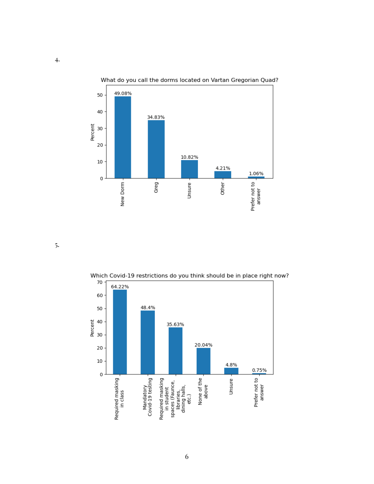

What do you call the dorms located on Vartan Gregorian Quad?

5.



Which Covid-19 restrictions do you think should be in place right now?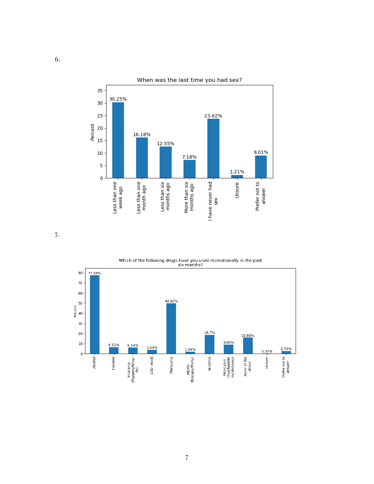

7.



Which of the following drugs have you used recreationally in the past<br>six months?